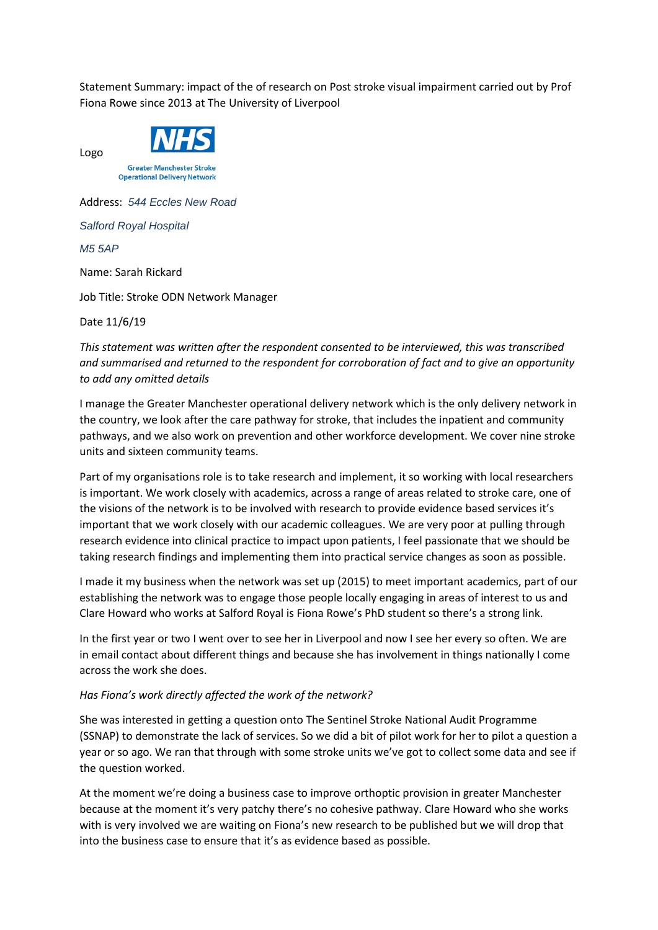Statement Summary: impact of the of research on Post stroke visual impairment carried out by Prof Fiona Rowe since 2013 at The University of Liverpool



**Greater Manchester Stroke Operational Delivery Network** 

Address: *544 Eccles New Road Salford Royal Hospital M5 5AP* Name: Sarah Rickard

Job Title: Stroke ODN Network Manager

Date 11/6/19

Logo

*This statement was written after the respondent consented to be interviewed, this was transcribed and summarised and returned to the respondent for corroboration of fact and to give an opportunity to add any omitted details*

I manage the Greater Manchester operational delivery network which is the only delivery network in the country, we look after the care pathway for stroke, that includes the inpatient and community pathways, and we also work on prevention and other workforce development. We cover nine stroke units and sixteen community teams.

Part of my organisations role is to take research and implement, it so working with local researchers is important. We work closely with academics, across a range of areas related to stroke care, one of the visions of the network is to be involved with research to provide evidence based services it's important that we work closely with our academic colleagues. We are very poor at pulling through research evidence into clinical practice to impact upon patients, I feel passionate that we should be taking research findings and implementing them into practical service changes as soon as possible.

I made it my business when the network was set up (2015) to meet important academics, part of our establishing the network was to engage those people locally engaging in areas of interest to us and Clare Howard who works at Salford Royal is Fiona Rowe's PhD student so there's a strong link.

In the first year or two I went over to see her in Liverpool and now I see her every so often. We are in email contact about different things and because she has involvement in things nationally I come across the work she does.

## *Has Fiona's work directly affected the work of the network?*

She was interested in getting a question onto The Sentinel Stroke National Audit Programme (SSNAP) to demonstrate the lack of services. So we did a bit of pilot work for her to pilot a question a year or so ago. We ran that through with some stroke units we've got to collect some data and see if the question worked.

At the moment we're doing a business case to improve orthoptic provision in greater Manchester because at the moment it's very patchy there's no cohesive pathway. Clare Howard who she works with is very involved we are waiting on Fiona's new research to be published but we will drop that into the business case to ensure that it's as evidence based as possible.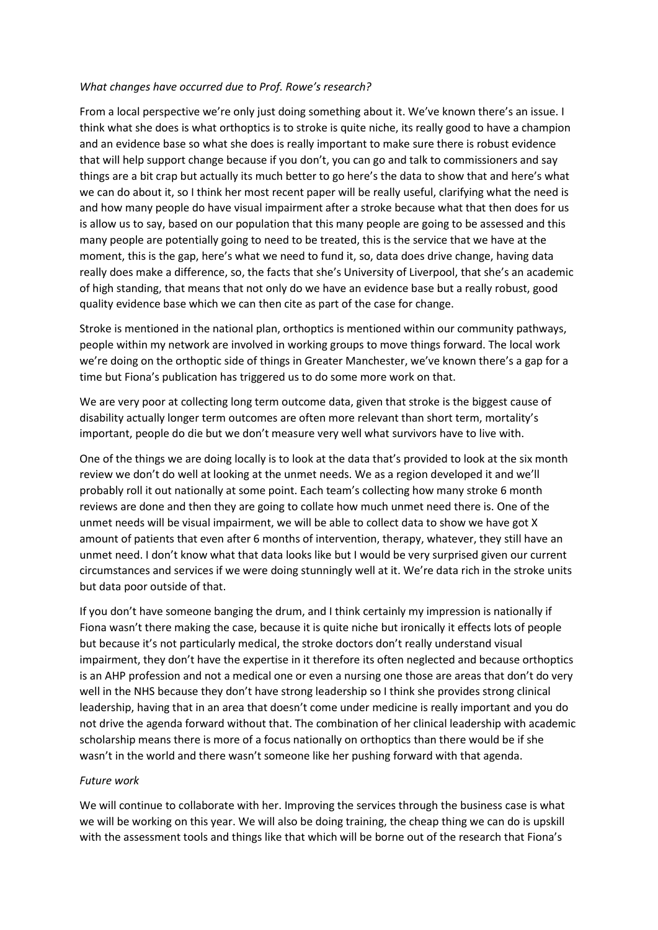## *What changes have occurred due to Prof. Rowe's research?*

From a local perspective we're only just doing something about it. We've known there's an issue. I think what she does is what orthoptics is to stroke is quite niche, its really good to have a champion and an evidence base so what she does is really important to make sure there is robust evidence that will help support change because if you don't, you can go and talk to commissioners and say things are a bit crap but actually its much better to go here's the data to show that and here's what we can do about it, so I think her most recent paper will be really useful, clarifying what the need is and how many people do have visual impairment after a stroke because what that then does for us is allow us to say, based on our population that this many people are going to be assessed and this many people are potentially going to need to be treated, this is the service that we have at the moment, this is the gap, here's what we need to fund it, so, data does drive change, having data really does make a difference, so, the facts that she's University of Liverpool, that she's an academic of high standing, that means that not only do we have an evidence base but a really robust, good quality evidence base which we can then cite as part of the case for change.

Stroke is mentioned in the national plan, orthoptics is mentioned within our community pathways, people within my network are involved in working groups to move things forward. The local work we're doing on the orthoptic side of things in Greater Manchester, we've known there's a gap for a time but Fiona's publication has triggered us to do some more work on that.

We are very poor at collecting long term outcome data, given that stroke is the biggest cause of disability actually longer term outcomes are often more relevant than short term, mortality's important, people do die but we don't measure very well what survivors have to live with.

One of the things we are doing locally is to look at the data that's provided to look at the six month review we don't do well at looking at the unmet needs. We as a region developed it and we'll probably roll it out nationally at some point. Each team's collecting how many stroke 6 month reviews are done and then they are going to collate how much unmet need there is. One of the unmet needs will be visual impairment, we will be able to collect data to show we have got X amount of patients that even after 6 months of intervention, therapy, whatever, they still have an unmet need. I don't know what that data looks like but I would be very surprised given our current circumstances and services if we were doing stunningly well at it. We're data rich in the stroke units but data poor outside of that.

If you don't have someone banging the drum, and I think certainly my impression is nationally if Fiona wasn't there making the case, because it is quite niche but ironically it effects lots of people but because it's not particularly medical, the stroke doctors don't really understand visual impairment, they don't have the expertise in it therefore its often neglected and because orthoptics is an AHP profession and not a medical one or even a nursing one those are areas that don't do very well in the NHS because they don't have strong leadership so I think she provides strong clinical leadership, having that in an area that doesn't come under medicine is really important and you do not drive the agenda forward without that. The combination of her clinical leadership with academic scholarship means there is more of a focus nationally on orthoptics than there would be if she wasn't in the world and there wasn't someone like her pushing forward with that agenda.

## *Future work*

We will continue to collaborate with her. Improving the services through the business case is what we will be working on this year. We will also be doing training, the cheap thing we can do is upskill with the assessment tools and things like that which will be borne out of the research that Fiona's